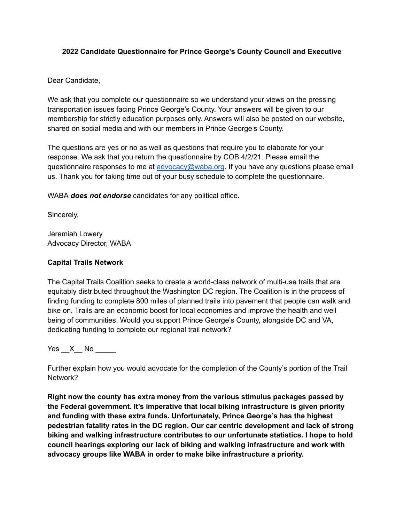### **2022 Candidate Questionnaire for Prince George's County Council and Executive**

Dear Candidate,

We ask that you complete our questionnaire so we understand your views on the pressing transportation issues facing Prince George's County. Your answers will be given to our membership for strictly education purposes only. Answers will also be posted on our website, shared on social media and with our members in Prince George's County.

The questions are yes or no as well as questions that require you to elaborate for your response. We ask that you return the questionnaire by COB 4/2/21. Please email the questionnaire responses to me at [advocacy@waba.org](mailto:advocacy@waba.org). If you have any questions please email us. Thank you for taking time out of your busy schedule to complete the questionnaire.

WABA *does not endorse* candidates for any political office.

Sincerely,

Jeremiah Lowery Advocacy Director, WABA

### **Capital Trails Network**

The Capital Trails Coalition seeks to create a world-class network of multi-use trails that are equitably distributed throughout the Washington DC region. The Coalition is in the process of finding funding to complete 800 miles of planned trails into pavement that people can walk and bike on. Trails are an economic boost for local economies and improve the health and well being of communities. Would you support Prince George's County, alongside DC and VA, dedicating funding to complete our regional trail network?

Yes  $X$  No  $\blacksquare$ 

Further explain how you would advocate for the completion of the County's portion of the Trail Network?

**Right now the county has extra money from the various stimulus packages passed by the Federal government. It's imperative that local biking infrastructure is given priority and funding with these extra funds. Unfortunately, Prince George's has the highest pedestrian fatality rates in the DC region. Our car centric development and lack of strong biking and walking infrastructure contributes to our unfortunate statistics. I hope to hold council hearings exploring our lack of biking and walking infrastructure and work with advocacy groups like WABA in order to make bike infrastructure a priority.**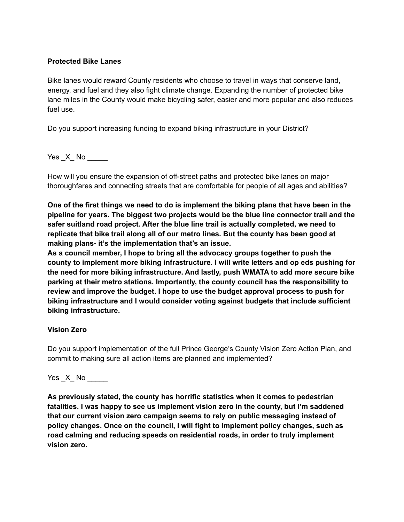### **Protected Bike Lanes**

Bike lanes would reward County residents who choose to travel in ways that conserve land, energy, and fuel and they also fight climate change. Expanding the number of protected bike lane miles in the County would make bicycling safer, easier and more popular and also reduces fuel use.

Do you support increasing funding to expand biking infrastructure in your District?

Yes X No

How will you ensure the expansion of off-street paths and protected bike lanes on major thoroughfares and connecting streets that are comfortable for people of all ages and abilities?

**One of the first things we need to do is implement the biking plans that have been in the pipeline for years. The biggest two projects would be the blue line connector trail and the safer suitland road project. After the blue line trail is actually completed, we need to replicate that bike trail along all of our metro lines. But the county has been good at making plans- it's the implementation that's an issue.**

**As a council member, I hope to bring all the advocacy groups together to push the county to implement more biking infrastructure. I will write letters and op eds pushing for the need for more biking infrastructure. And lastly, push WMATA to add more secure bike parking at their metro stations. Importantly, the county council has the responsibility to review and improve the budget. I hope to use the budget approval process to push for biking infrastructure and I would consider voting against budgets that include sufficient biking infrastructure.**

# **Vision Zero**

Do you support implementation of the full Prince George's County Vision Zero Action Plan, and commit to making sure all action items are planned and implemented?

# Yes X No  $\blacksquare$

**As previously stated, the county has horrific statistics when it comes to pedestrian fatalities. I was happy to see us implement vision zero in the county, but I'm saddened that our current vision zero campaign seems to rely on public messaging instead of policy changes. Once on the council, I will fight to implement policy changes, such as road calming and reducing speeds on residential roads, in order to truly implement vision zero.**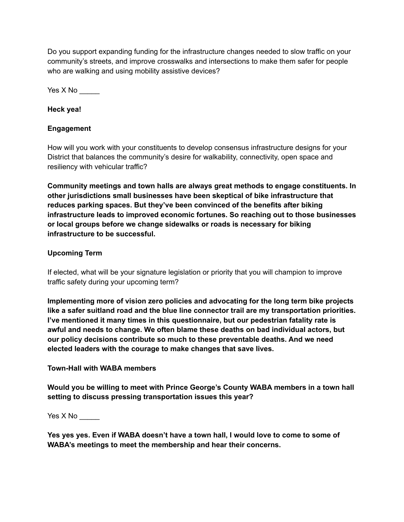Do you support expanding funding for the infrastructure changes needed to slow traffic on your community's streets, and improve crosswalks and intersections to make them safer for people who are walking and using mobility assistive devices?

Yes X No \_\_\_\_\_

**Heck yea!**

# **Engagement**

How will you work with your constituents to develop consensus infrastructure designs for your District that balances the community's desire for walkability, connectivity, open space and resiliency with vehicular traffic?

**Community meetings and town halls are always great methods to engage constituents. In other jurisdictions small businesses have been skeptical of bike infrastructure that reduces parking spaces. But they've been convinced of the benefits after biking infrastructure leads to improved economic fortunes. So reaching out to those businesses or local groups before we change sidewalks or roads is necessary for biking infrastructure to be successful.**

# **Upcoming Term**

If elected, what will be your signature legislation or priority that you will champion to improve traffic safety during your upcoming term?

**Implementing more of vision zero policies and advocating for the long term bike projects like a safer suitland road and the blue line connector trail are my transportation priorities. I've mentioned it many times in this questionnaire, but our pedestrian fatality rate is awful and needs to change. We often blame these deaths on bad individual actors, but our policy decisions contribute so much to these preventable deaths. And we need elected leaders with the courage to make changes that save lives.**

# **Town-Hall with WABA members**

**Would you be willing to meet with Prince George's County WABA members in a town hall setting to discuss pressing transportation issues this year?**

Yes  $X$  No $\_\_\_\_\_\_\_\_\$ 

**Yes yes yes. Even if WABA doesn't have a town hall, I would love to come to some of WABA's meetings to meet the membership and hear their concerns.**